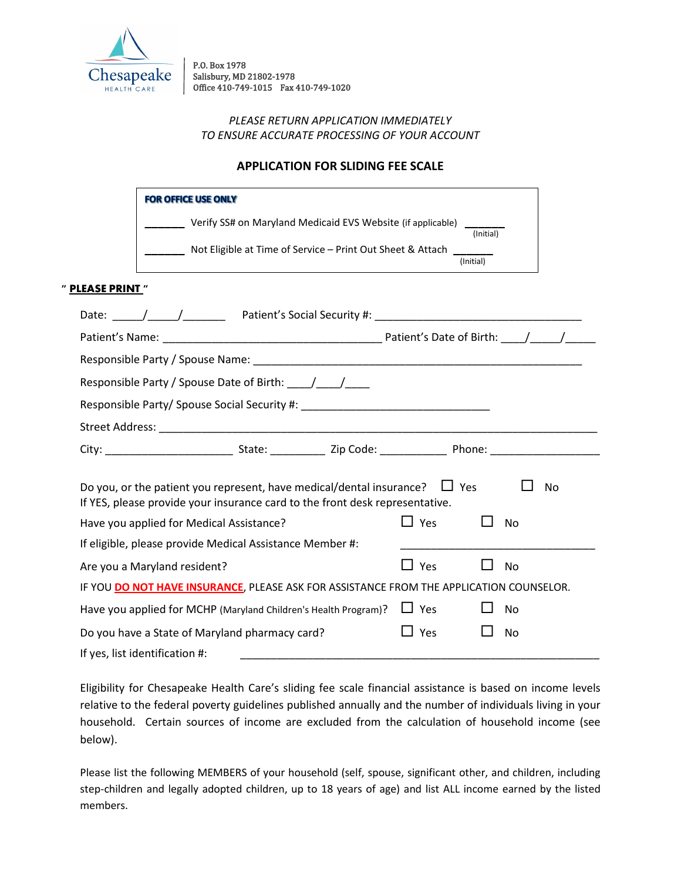

P.O. Box 1978 Salisbury, MD 21802-1978 Office 410-749-1015 Fax 410-749-1020

## *PLEASE RETURN APPLICATION IMMEDIATELY TO ENSURE ACCURATE PROCESSING OF YOUR ACCOUNT*

# **APPLICATION FOR SLIDING FEE SCALE**

| <b>FOR OFFICE USE ONLY</b>                                  |           |
|-------------------------------------------------------------|-----------|
| Verify SS# on Maryland Medicaid EVS Website (if applicable) | (Initial) |
| Not Eligible at Time of Service - Print Out Sheet & Attach  | (Initial) |

#### **" PLEASE PRINT "**

| Date: $\frac{1}{\sqrt{1-\frac{1}{\sqrt{1-\frac{1}{\sqrt{1-\frac{1}{\sqrt{1-\frac{1}{\sqrt{1-\frac{1}{\sqrt{1-\frac{1}{\sqrt{1-\frac{1}{\sqrt{1-\frac{1}{\sqrt{1-\frac{1}{\sqrt{1-\frac{1}{\sqrt{1-\frac{1}{\sqrt{1-\frac{1}{\sqrt{1-\frac{1}{\sqrt{1-\frac{1}{\sqrt{1-\frac{1}{\sqrt{1-\frac{1}{\sqrt{1-\frac{1}{\sqrt{1-\frac{1}{\sqrt{1-\frac{1}{\sqrt{1-\frac{1}{\sqrt{1-\frac{1}{\sqrt{1-\frac{1}{\sqrt{1-\frac{1}{\sqrt$ |  |  |              |  |    |  |
|-------------------------------------------------------------------------------------------------------------------------------------------------------------------------------------------------------------------------------------------------------------------------------------------------------------------------------------------------------------------------------------------------------------------------------|--|--|--------------|--|----|--|
|                                                                                                                                                                                                                                                                                                                                                                                                                               |  |  |              |  |    |  |
|                                                                                                                                                                                                                                                                                                                                                                                                                               |  |  |              |  |    |  |
|                                                                                                                                                                                                                                                                                                                                                                                                                               |  |  |              |  |    |  |
|                                                                                                                                                                                                                                                                                                                                                                                                                               |  |  |              |  |    |  |
|                                                                                                                                                                                                                                                                                                                                                                                                                               |  |  |              |  |    |  |
|                                                                                                                                                                                                                                                                                                                                                                                                                               |  |  |              |  |    |  |
| Do you, or the patient you represent, have medical/dental insurance? $\Box$ Yes<br>No<br>If YES, please provide your insurance card to the front desk representative.<br>$\square$ Yes<br>Have you applied for Medical Assistance?<br><b>No</b>                                                                                                                                                                               |  |  |              |  |    |  |
| If eligible, please provide Medical Assistance Member #:                                                                                                                                                                                                                                                                                                                                                                      |  |  |              |  |    |  |
| Are you a Maryland resident?                                                                                                                                                                                                                                                                                                                                                                                                  |  |  | $\Box$ Yes   |  | No |  |
| IF YOU DO NOT HAVE INSURANCE, PLEASE ASK FOR ASSISTANCE FROM THE APPLICATION COUNSELOR.                                                                                                                                                                                                                                                                                                                                       |  |  |              |  |    |  |
| Have you applied for MCHP (Maryland Children's Health Program)?                                                                                                                                                                                                                                                                                                                                                               |  |  | $\Box$ Yes   |  | No |  |
| Do you have a State of Maryland pharmacy card?                                                                                                                                                                                                                                                                                                                                                                                |  |  | $\sqcup$ Yes |  | No |  |
| If yes, list identification #:                                                                                                                                                                                                                                                                                                                                                                                                |  |  |              |  |    |  |

Eligibility for Chesapeake Health Care's sliding fee scale financial assistance is based on income levels relative to the federal poverty guidelines published annually and the number of individuals living in your household. Certain sources of income are excluded from the calculation of household income (see below).

Please list the following MEMBERS of your household (self, spouse, significant other, and children, including step-children and legally adopted children, up to 18 years of age) and list ALL income earned by the listed members.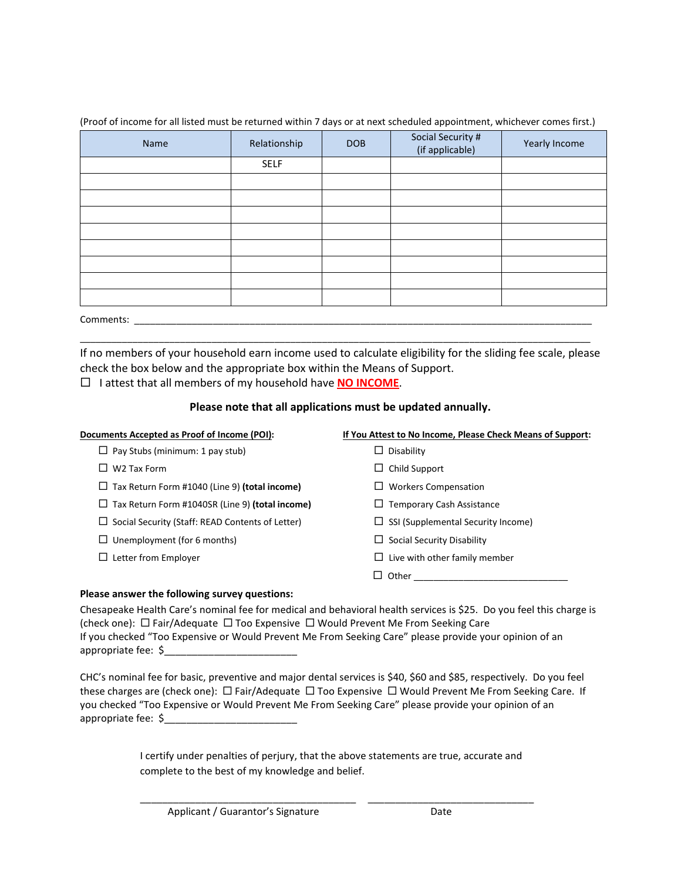| Name      | Relationship | <b>DOB</b> | Social Security #<br>(if applicable) | Yearly Income |  |
|-----------|--------------|------------|--------------------------------------|---------------|--|
|           | <b>SELF</b>  |            |                                      |               |  |
|           |              |            |                                      |               |  |
|           |              |            |                                      |               |  |
|           |              |            |                                      |               |  |
|           |              |            |                                      |               |  |
|           |              |            |                                      |               |  |
|           |              |            |                                      |               |  |
|           |              |            |                                      |               |  |
|           |              |            |                                      |               |  |
| Comments: |              |            |                                      |               |  |

(Proof of income for all listed must be returned within 7 days or at next scheduled appointment, whichever comes first.)

If no members of your household earn income used to calculate eligibility for the sliding fee scale, please check the box below and the appropriate box within the Means of Support. I attest that all members of my household have **NO INCOME**.

 $\overline{a}$  , and the set of the set of the set of the set of the set of the set of the set of the set of the set of the set of the set of the set of the set of the set of the set of the set of the set of the set of the set

## **Please note that all applications must be updated annually.**

| Documents Accepted as Proof of Income (POI):       | If You Attest to No Income, Please Check Means of Support: |
|----------------------------------------------------|------------------------------------------------------------|
| Pay Stubs (minimum: 1 pay stub)                    | Disability                                                 |
| W <sub>2</sub> Tax Form                            | Child Support<br>ப                                         |
| Tax Return Form #1040 (Line 9) (total income)<br>ப | <b>Workers Compensation</b>                                |
| Tax Return Form #1040SR (Line 9) (total income)    | <b>Temporary Cash Assistance</b><br>ப                      |
| Social Security (Staff: READ Contents of Letter)   | SSI (Supplemental Security Income)                         |
| Unemployment (for 6 months)                        | Social Security Disability                                 |
| Letter from Employer                               | Live with other family member                              |
|                                                    | Other                                                      |

## **Please answer the following survey questions:**

Chesapeake Health Care's nominal fee for medical and behavioral health services is \$25. Do you feel this charge is (check one):  $\Box$  Fair/Adequate  $\Box$  Too Expensive  $\Box$  Would Prevent Me From Seeking Care If you checked "Too Expensive or Would Prevent Me From Seeking Care" please provide your opinion of an appropriate fee: \$\_\_\_\_\_\_\_\_\_\_\_\_\_\_\_\_\_\_\_\_\_\_\_\_

CHC's nominal fee for basic, preventive and major dental services is \$40, \$60 and \$85, respectively. Do you feel these charges are (check one):  $\Box$  Fair/Adequate  $\Box$  Too Expensive  $\Box$  Would Prevent Me From Seeking Care. If you checked "Too Expensive or Would Prevent Me From Seeking Care" please provide your opinion of an appropriate fee: \$

> I certify under penalties of perjury, that the above statements are true, accurate and complete to the best of my knowledge and belief.

\_\_\_\_\_\_\_\_\_\_\_\_\_\_\_\_\_\_\_\_\_\_\_\_\_\_\_\_\_\_\_\_\_\_\_\_\_\_\_ \_\_\_\_\_\_\_\_\_\_\_\_\_\_\_\_\_\_\_\_\_\_\_\_\_\_\_\_\_\_